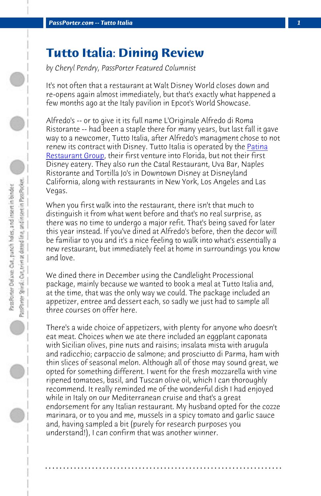*PassPorter.com -- Tutto Italia 1*

## **Tutto Italia: Dining Review**

*by Cheryl Pendry, PassPorter Featured Columnist*

It's not often that a restaurant at Walt Disney World closes down and re-opens again almost immediately, but that's exactly what happened a few months ago at the Italy pavilion in Epcot's World Showcase.

Alfredo's -- or to give it its full name L'Originale Alfredo di Roma Ristorante -- had been a staple there for many years, but last fall it gave way to a newcomer, Tutto Italia, after Alfredo's managment chose to not renew its contract with Disney. Tutto Italia is operated by the Patina Restaurant Group, their first venture into Florida, but not their first Disney eatery. They also run the Catal Restaurant, Uva Bar, Naples Ristorante and Tortilla Jo's in Downtown Disney at Disneyland California, along with restaurants in New York, Los Angeles and Las Vegas.

When you first walk into the restaurant, there isn't that much to distinguish it from what went before and that's no real surprise, as there was no time to undergo a major refit. That's being saved for later this year instead. If you've dined at Alfredo's before, then the decor will be familiar to you and it's a nice feeling to walk into what's essentially a new restaurant, but immediately feel at home in surroundings you know and love.

We dined there in December using the Candlelight Processional package, mainly because we wanted to book a meal at Tutto Italia and, at the time, that was the only way we could. The package included an appetizer, entree and dessert each, so sadly we just had to sample all three courses on offer here.

There's a wide choice of appetizers, with plenty for anyone who doesn't eat meat. Choices when we ate there included an eggplant caponata with Sicilian olives, pine nuts and raisins; insalata mista with arugula and radicchio; carpaccio de salmone; and prosciutto di Parma, ham with thin slices of seasonal melon. Although all of those may sound great, we opted for something different. I went for the fresh mozzarella with vine ripened tomatoes, basil, and Tuscan olive oil, which I can thoroughly recommend. It really reminded me of the wonderful dish I had enjoyed while in Italy on our Mediterranean cruise and that's a great endorsement for any Italian restaurant. My husband opted for the cozze marinara, or to you and me, mussels in a spicy tomato and garlic sauce and, having sampled a bit (purely for research purposes you understand!), I can confirm that was another winner.

**. . . . . . . . . . . . . . . . . . . . . . . . . . . . . . . . . . . . . . . . . . . . . . . . . . . . . . . . . . . . . . . . . .**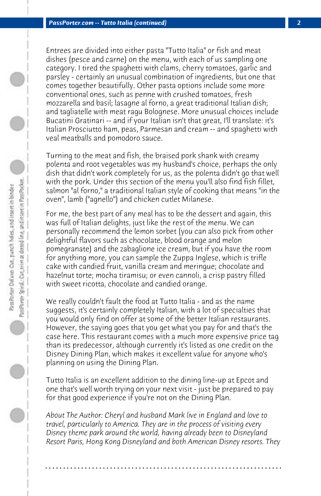Entrees are divided into either pasta "Tutto Italia" or fish and meat dishes (pesce and carne) on the menu, with each of us sampling one category. I tired the spaghetti with clams, cherry tomatoes, garlic and parsley - certainly an unusual combination of ingredients, but one that comes together beautifully. Other pasta options include some more conventional ones, such as penne with crushed tomatoes, fresh mozzarella and basil; lasagne al forno, a great traditional Italian dish; and tagliatelle with meat ragu Bolognese. More unusual choices include Bucatini Gratinari -- and if your Italian isn't that great, I'll translate: it's Italian Prosciutto ham, peas, Parmesan and cream -- and spaghetti with veal meatballs and pomodoro sauce.

Turning to the meat and fish, the braised pork shank with creamy polenta and root vegetables was my husband's choice, perhaps the only dish that didn't work completely for us, as the polenta didn't go that well with the pork. Under this section of the menu you'll also find fish fillet, salmon "al forno," a traditional Italian style of cooking that means "in the oven", lamb ("agnello") and chicken cutlet Milanese.

For me, the best part of any meal has to be the dessert and again, this was full of Italian delights, just like the rest of the menu. We can personally recommend the lemon sorbet (you can also pick from other delightful flavors such as chocolate, blood orange and melon pomegranate) and the zabaglione ice cream, but if you have the room for anything more, you can sample the Zuppa Inglese, which is trifle cake with candied fruit, vanilla cream and meringue; chocolate and hazelnut torte; mocha tiramisu; or even cannoli, a crisp pastry filled with sweet ricotta, chocolate and candied orange.

We really couldn't fault the food at Tutto Italia - and as the name suggests, it's certainly completely Italian, with a lot of specialties that you would only find on offer at some of the better Italian restaurants. However, the saying goes that you get what you pay for and that's the case here. This restaurant comes with a much more expensive price tag than its predecessor, although currently it's listed as one credit on the Disney Dining Plan, which makes it excellent value for anyone who's planning on using the Dining Plan.

Tutto Italia is an excellent addition to the dining line-up at Epcot and one that's well worth trying on your next visit - just be prepared to pay for that good experience if you're not on the Dining Plan.

*About The Author: Cheryl and husband Mark live in England and love to travel, particularly to America. They are in the process of visiting every Disney theme park around the world, having already been to Disneyland Resort Paris, Hong Kong Disneyland and both American Disney resorts. They*

**. . . . . . . . . . . . . . . . . . . . . . . . . . . . . . . . . . . . . . . . . . . . . . . . . . . . . . . . . . . . . . . . . .**